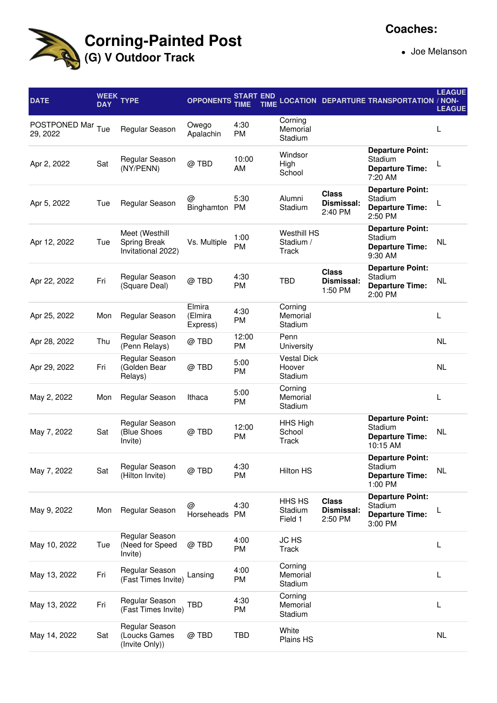

Joe Melanson

| <b>DATE</b>                   | <b>WEEK</b><br><b>DAY</b> | <b>TYPE</b>                                          | <b>OPPONENTS</b>              | <b>START END</b><br>TIME | <b>TIME</b> |                                          |                                       | <b>LOCATION DEPARTURE TRANSPORTATION / NON-</b>                          | <b>LEAGUE</b><br><b>LEAGUE</b> |
|-------------------------------|---------------------------|------------------------------------------------------|-------------------------------|--------------------------|-------------|------------------------------------------|---------------------------------------|--------------------------------------------------------------------------|--------------------------------|
| POSTPONED Mar Tue<br>29, 2022 |                           | Regular Season                                       | Owego<br>Apalachin            | 4:30<br><b>PM</b>        |             | Corning<br>Memorial<br>Stadium           |                                       |                                                                          | L                              |
| Apr 2, 2022                   | Sat                       | Regular Season<br>(NY/PENN)                          | @ TBD                         | 10:00<br>AM              |             | Windsor<br>High<br>School                |                                       | <b>Departure Point:</b><br>Stadium<br><b>Departure Time:</b><br>7:20 AM  |                                |
| Apr 5, 2022                   | Tue                       | Regular Season                                       | @<br>Binghamton               | 5:30<br><b>PM</b>        |             | Alumni<br>Stadium                        | <b>Class</b><br>Dismissal:<br>2:40 PM | <b>Departure Point:</b><br>Stadium<br><b>Departure Time:</b><br>2:50 PM  |                                |
| Apr 12, 2022                  | Tue                       | Meet (Westhill<br>Spring Break<br>Invitational 2022) | Vs. Multiple                  | 1:00<br>PM               |             | <b>Westhill HS</b><br>Stadium /<br>Track |                                       | <b>Departure Point:</b><br>Stadium<br><b>Departure Time:</b><br>9:30 AM  | <b>NL</b>                      |
| Apr 22, 2022                  | Fri                       | Regular Season<br>(Square Deal)                      | @TBD                          | 4:30<br>PM               |             | <b>TBD</b>                               | <b>Class</b><br>Dismissal:<br>1:50 PM | <b>Departure Point:</b><br>Stadium<br><b>Departure Time:</b><br>2:00 PM  | <b>NL</b>                      |
| Apr 25, 2022                  | Mon                       | Regular Season                                       | Elmira<br>(Elmira<br>Express) | 4:30<br>PM               |             | Corning<br>Memorial<br>Stadium           |                                       |                                                                          | L                              |
| Apr 28, 2022                  | Thu                       | Regular Season<br>(Penn Relays)                      | @TBD                          | 12:00<br><b>PM</b>       |             | Penn<br>University                       |                                       |                                                                          | <b>NL</b>                      |
| Apr 29, 2022                  | Fri                       | Regular Season<br>(Golden Bear<br>Relays)            | @ TBD                         | 5:00<br><b>PM</b>        |             | <b>Vestal Dick</b><br>Hoover<br>Stadium  |                                       |                                                                          | <b>NL</b>                      |
| May 2, 2022                   | Mon                       | Regular Season                                       | Ithaca                        | 5:00<br><b>PM</b>        |             | Corning<br>Memorial<br>Stadium           |                                       |                                                                          | L                              |
| May 7, 2022                   | Sat                       | Regular Season<br>(Blue Shoes<br>Invite)             | @ TBD                         | 12:00<br><b>PM</b>       |             | HHS High<br>School<br>Track              |                                       | <b>Departure Point:</b><br>Stadium<br><b>Departure Time:</b><br>10:15 AM | <b>NL</b>                      |
| May 7, 2022                   | Sat                       | Regular Season<br>(Hilton Invite)                    | @ TBD                         | 4:30<br>PM               |             | <b>Hilton HS</b>                         |                                       | <b>Departure Point:</b><br>Stadium<br><b>Departure Time:</b><br>1:00 PM  | NL                             |
| May 9, 2022                   | Mon                       | Regular Season                                       | @<br>Horseheads PM            | 4:30                     |             | HHS HS<br>Stadium<br>Field 1             | <b>Class</b><br>Dismissal:<br>2:50 PM | <b>Departure Point:</b><br>Stadium<br><b>Departure Time:</b><br>3:00 PM  |                                |
| May 10, 2022                  | Tue                       | Regular Season<br>(Need for Speed<br>Invite)         | @ TBD                         | 4:00<br><b>PM</b>        |             | JC HS<br>Track                           |                                       |                                                                          | L                              |
| May 13, 2022                  | Fri                       | Regular Season<br>(Fast Times Invite)                | Lansing                       | 4:00<br>PM               |             | Corning<br>Memorial<br>Stadium           |                                       |                                                                          | L                              |
| May 13, 2022                  | Fri                       | Regular Season<br>(Fast Times Invite)                | TBD                           | 4:30<br>PM               |             | Corning<br>Memorial<br>Stadium           |                                       |                                                                          | L                              |
| May 14, 2022                  | Sat                       | Regular Season<br>(Loucks Games<br>(Invite Only))    | @ TBD                         | TBD                      |             | White<br>Plains HS                       |                                       |                                                                          | <b>NL</b>                      |